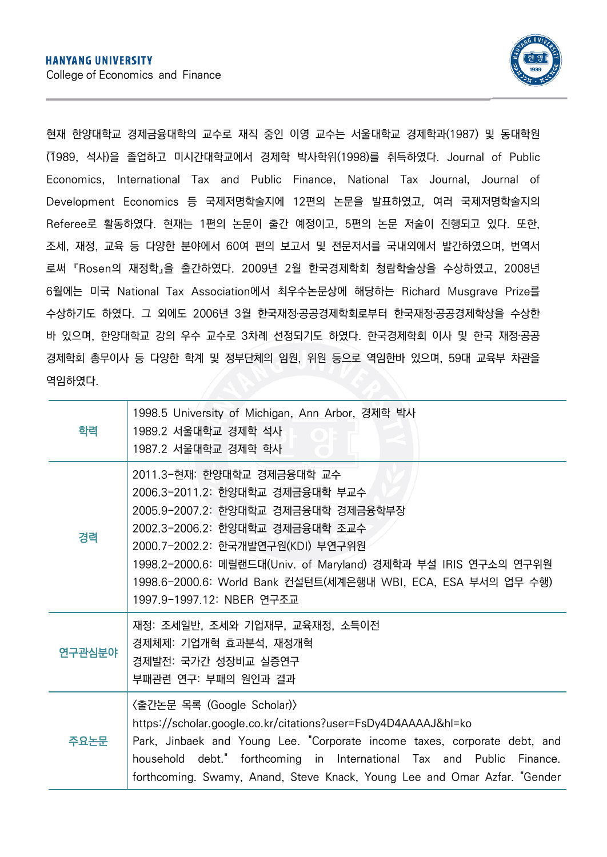

현재 한양대학교 경제금융대학의 교수로 재직 중인 이영 교수는 서울대학교 경제학과(1987) 및 동대학원 (1989, 석사)을 졸업하고 미시간대학교에서 경제학 박사학위(1998)를 취득하였다. Journal of Public Economics, International Tax and Public Finance, National Tax Journal, Journal of Development Economics 등 국제저명학술지에 12편의 논문을 발표하였고, 여러 국제저명학술지의 Referee로 활동하였다. 현재는 1편의 논문이 출간 예정이고, 5편의 논문 저술이 진행되고 있다. 또한,<br>조세, 재정, 교육 등 다양한 분야에서 60여 편의 보고서 및 전문저서를 국내외에서 발간하였으며, 번역서 로써 『Rosen의 재정학』을 출간하였다. 2009년 2월 한국경제학회 청람학술상을 수상하였고, 2008년 6월에는 미국 National Tax Association에서 최우수논문상에 해당하는 Richard Musgrave Prize를 수상하기도 하였다. 그 외에도 2006년 3월 한국재정․공공경제학회로부터 한국재정‧공공경제학상을 수상한 바 있으며, 한양대학교 강의 우수 교수로 3차례 선정되기도 하였다. 한국경제학회 이사 및 한국 재정‧공공 경제학회 총무이사 등 다양한 학계 및 정부단체의 임원, 위원 등으로 역임한바 있으며, 59대 교육부 차관을 역임하였다.

| 학력     | 1998.5 University of Michigan, Ann Arbor, 경제학 박사<br>1989.2 서울대학교 경제학 석사<br>1987.2 서울대학교 경제학 학사                                                                                                                                                                                                                                               |
|--------|----------------------------------------------------------------------------------------------------------------------------------------------------------------------------------------------------------------------------------------------------------------------------------------------------------------------------------------------|
| 경력     | 2011.3-현재: 한양대학교 경제금융대학 교수<br>2006.3-2011.2: 한양대학교 경제금융대학 부교수<br>2005.9-2007.2: 한양대학교 경제금융대학 경제금융학부장<br>2002.3-2006.2: 한양대학교 경제금융대학 조교수<br>2000.7-2002.2: 한국개발연구원(KDI) 부연구위원<br>1998.2-2000.6: 메릴랜드대(Univ. of Maryland) 경제학과 부설 IRIS 연구소의 연구위원<br>1998.6-2000.6: World Bank 컨설턴트(세계은행내 WBI, ECA, ESA 부서의 업무 수행)<br>1997.9-1997.12: NBER 연구조교 |
| 연구관심분야 | 재정: 조세일반, 조세와 기업재무, 교육재정, 소득이전<br>경제체제: 기업개혁 효과분석, 재정개혁<br>경제발전: 국가간 성장비교 실증연구<br>부패관련 연구: 부패의 원인과 결과                                                                                                                                                                                                                                        |
| 주요논문   | 〈출간논문 목록 (Google Scholar)〉<br>https://scholar.google.co.kr/citations?user=FsDy4D4AAAAJ&hl=ko<br>Park, Jinbaek and Young Lee. "Corporate income taxes, corporate debt, and<br>household debt." forthcoming in International Tax and Public Finance.<br>forthcoming. Swamy, Anand, Steve Knack, Young Lee and Omar Azfar. "Gender              |